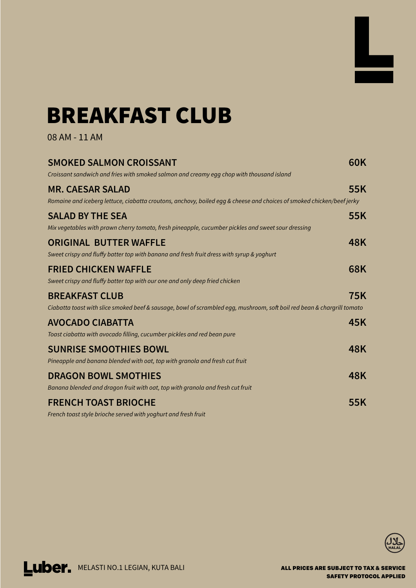## **BREAKFAST CLUB**

08 AM - 11 AM







| <b>SMOKED SALMON CROISSANT</b><br>Croissant sandwich and fries with smoked salmon and creamy egg chop with thousand island                       | 60K        |
|--------------------------------------------------------------------------------------------------------------------------------------------------|------------|
| <b>MR. CAESAR SALAD</b><br>Romaine and iceberg lettuce, ciabatta croutons, anchovy, boiled egg & cheese and choices of smoked chicken/beef jerky | 55K        |
| <b>SALAD BY THE SEA</b><br>Mix vegetables with prawn cherry tomato, fresh pineapple, cucumber pickles and sweet sour dressing                    | 55K        |
| <b>ORIGINAL BUTTER WAFFLE</b><br>Sweet crispy and fluffy batter top with banana and fresh fruit dress with syrup & yoghurt                       | 48K        |
| <b>FRIED CHICKEN WAFFLE</b><br>Sweet crispy and fluffy batter top with our one and only deep fried chicken                                       | <b>68K</b> |
| <b>BREAKFAST CLUB</b><br>Ciabatta toast with slice smoked beef & sausage, bowl of scrambled egg, mushroom, soft boil red bean & chargrill tomato | <b>75K</b> |
| <b>AVOCADO CIABATTA</b><br>Toast ciabatta with avocado filling, cucumber pickles and red bean pure                                               | 45K        |
| <b>SUNRISE SMOOTHIES BOWL</b><br>Pineapple and banana blended with oat, top with granola and fresh cut fruit                                     | 48K        |
| <b>DRAGON BOWL SMOTHIES</b><br>Banana blended and dragon fruit with oat, top with granola and fresh cut fruit                                    | <b>48K</b> |
| <b>FRENCH TOAST BRIOCHE</b><br>French toast style brioche served with yoghurt and fresh fruit                                                    | 55K        |